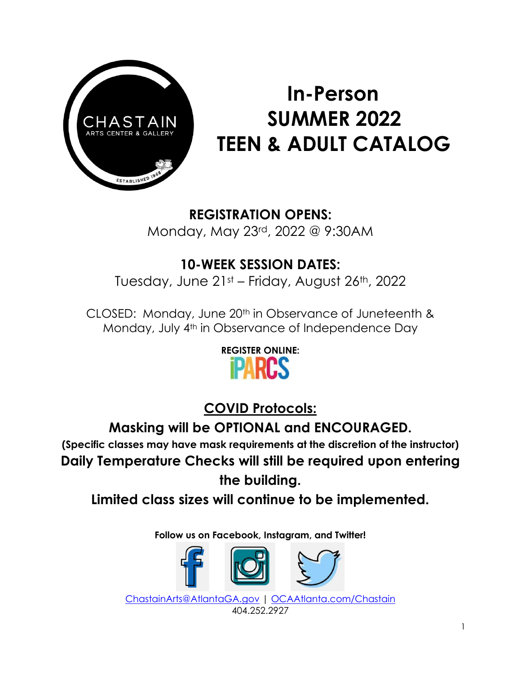

# **In-Person SUMMER 2022 TEEN & ADULT CATALOG**

**REGISTRATION OPENS:**  Monday, May 23rd, 2022 @ 9:30AM

# **10-WEEK SESSION DATES:**

Tuesday, June 21st – Friday, August 26th, 2022

CLOSED: Monday, June 20th in Observance of Juneteenth & Monday, July 4<sup>th</sup> in Observance of Independence Day



**COVID Protocols:**

# **Masking will be OPTIONAL and ENCOURAGED.**

**(Specific classes may have mask requirements at the discretion of the instructor) Daily Temperature Checks will still be required upon entering the building.**

**Limited class sizes will continue to be implemented.**

**Follow us on Facebook, Instagram, and Twitter!**



[ChastainArts@AtlantaGA.gov](mailto:ChastainArts@AtlantaGA.gov) | [OCAAtlanta.com/Chastain](http://www.ocaatlanta.com/chastain/) 404.252.2927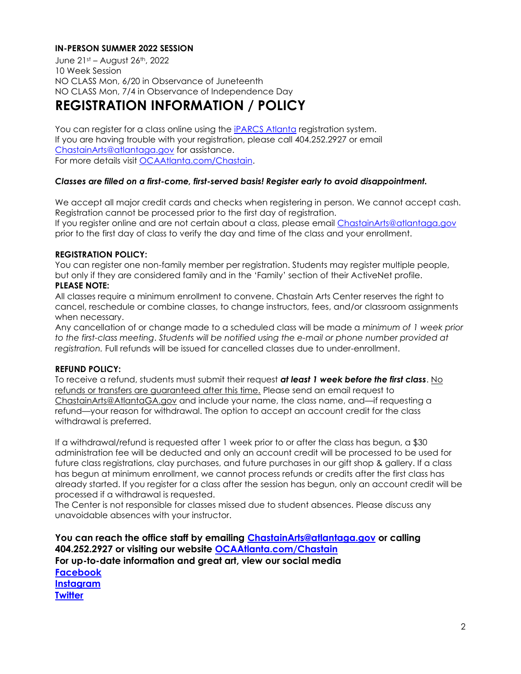### **IN-PERSON SUMMER 2022 SESSION**

June 21st – August 26th, 2022 10 Week Session NO CLASS Mon, 6/20 in Observance of Juneteenth NO CLASS Mon, 7/4 in Observance of Independence Day

### **REGISTRATION INFORMATION / POLICY**

You can register for a class online using the [iPARCS Atlanta](https://apm.activecommunities.com/atlantadprca/Home) registration system. If you are having trouble with your registration, please call 404.252.2927 or email [ChastainArts@atlantaga.gov](mailto:ChastainArts@atlantaga.gov) for assistance. For more details visit [OCAAtlanta.com/Chastain.](http://www.ocaatlanta.com/chastain/)

### *Classes are filled on a first-come, first-served basis! Register early to avoid disappointment.*

We accept all major credit cards and checks when registering in person. We cannot accept cash. Registration cannot be processed prior to the first day of registration. If you register online and are not certain about a class, please email [ChastainArts@atlantaga.gov](mailto:ChastainArts@atlantaga.gov)

prior to the first day of class to verify the day and time of the class and your enrollment.

### **REGISTRATION POLICY:**

You can register one non-family member per registration. Students may register multiple people, but only if they are considered family and in the 'Family' section of their ActiveNet profile.

### **PLEASE NOTE:**

All classes require a minimum enrollment to convene. Chastain Arts Center reserves the right to cancel, reschedule or combine classes, to change instructors, fees, and/or classroom assignments when necessary.

Any cancellation of or change made to a scheduled class will be made a *minimum of 1 week prior to the first-class meeting*. *Students will be notified using the e-mail or phone number provided at registration.* Full refunds will be issued for cancelled classes due to under-enrollment.

### **REFUND POLICY:**

To receive a refund, students must submit their request *at least 1 week before the first class*. No refunds or transfers are guaranteed after this time. Please send an email request to [ChastainArts@AtlantaGA.gov](mailto:ChastainArts@AtlantaGA.gov) and include your name, the class name, and—if requesting a refund—your reason for withdrawal. The option to accept an account credit for the class withdrawal is preferred.

If a withdrawal/refund is requested after 1 week prior to or after the class has begun, a \$30 administration fee will be deducted and only an account credit will be processed to be used for future class registrations, clay purchases, and future purchases in our gift shop & gallery. If a class has begun at minimum enrollment, we cannot process refunds or credits after the first class has already started. If you register for a class after the session has begun, only an account credit will be processed if a withdrawal is requested.

The Center is not responsible for classes missed due to student absences. Please discuss any unavoidable absences with your instructor.

**You can reach the office staff by emailing [ChastainArts@atlantaga.gov](mailto:ChastainArts@atlantaga.gov) or calling 404.252.2927 or visiting our website [OCAAtlanta.com/Chastain](https://cityofatlanta-my.sharepoint.com/personal/akadri_atlantaga_gov/Documents/Chastain%20Shared%20Drive/Administration/Catalog/2022/Winter%20) For up-to-date information and great art, view our social media [Facebook](https://www.facebook.com/ChastainArtsCenter/) [Instagram](https://www.instagram.com/chastainartscenter/) [Twitter](https://twitter.com/chastainarts)**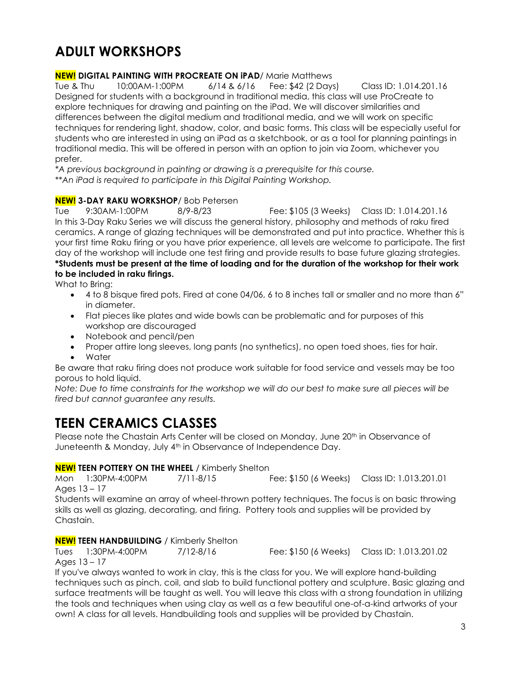# **ADULT WORKSHOPS**

### **NEW! DIGITAL PAINTING WITH PROCREATE ON iPAD**/ Marie Matthews

Tue & Thu 10:00AM-1:00PM 6/14 & 6/16 Fee: \$42 (2 Days) Class ID: 1.014.201.16 Designed for students with a background in traditional media, this class will use ProCreate to explore techniques for drawing and painting on the iPad. We will discover similarities and differences between the digital medium and traditional media, and we will work on specific techniques for rendering light, shadow, color, and basic forms. This class will be especially useful for students who are interested in using an iPad as a sketchbook, or as a tool for planning paintings in traditional media. This will be offered in person with an option to join via Zoom, whichever you prefer.

*\*A previous background in painting or drawing is a prerequisite for this course. \*\*An iPad is required to participate in this Digital Painting Workshop.*

### **NEW! 3-DAY RAKU WORKSHOP**/ Bob Petersen

Tue 9:30AM-1:00PM 8/9-8/23 Fee: \$105 (3 Weeks) Class ID: 1.014.201.16 In this 3-Day Raku Series we will discuss the general history, philosophy and methods of raku fired ceramics. A range of glazing techniques will be demonstrated and put into practice. Whether this is your first time Raku firing or you have prior experience, all levels are welcome to participate. The first day of the workshop will include one test firing and provide results to base future glazing strategies.

### **\*Students must be present at the time of loading and for the duration of the workshop for their work to be included in raku firings.**

What to Bring:

- 4 to 8 bisque fired pots. Fired at cone 04/06, 6 to 8 inches tall or smaller and no more than 6" in diameter.
- Flat pieces like plates and wide bowls can be problematic and for purposes of this workshop are discouraged
- Notebook and pencil/pen
- Proper attire long sleeves, long pants (no synthetics), no open toed shoes, ties for hair.
- Water

Be aware that raku firing does not produce work suitable for food service and vessels may be too porous to hold liquid.

*Note: Due to time constraints for the workshop we will do our best to make sure all pieces will be fired but cannot guarantee any results.*

## **TEEN CERAMICS CLASSES**

Please note the Chastain Arts Center will be closed on Monday, June 20<sup>th</sup> in Observance of Juneteenth & Monday, July 4th in Observance of Independence Day.

### **NEW! TEEN POTTERY ON THE WHEEL** / Kimberly Shelton

Mon 1:30PM-4:00PM 7/11-8/15 Fee: \$150 (6 Weeks) Class ID: 1.013.201.01 Ages 13 – 17

Students will examine an array of wheel-thrown pottery techniques. The focus is on basic throwing skills as well as glazing, decorating, and firing. Pottery tools and supplies will be provided by Chastain.

### **NEW! TEEN HANDBUILDING** / Kimberly Shelton

Tues 1:30PM-4:00PM 7/12-8/16 Fee: \$150 (6 Weeks) Class ID: 1.013.201.02 Ages 13 – 17

If you've always wanted to work in clay, this is the class for you. We will explore hand-building techniques such as pinch, coil, and slab to build functional pottery and sculpture. Basic glazing and surface treatments will be taught as well. You will leave this class with a strong foundation in utilizing the tools and techniques when using clay as well as a few beautiful one-of-a-kind artworks of your own! A class for all levels. Handbuilding tools and supplies will be provided by Chastain.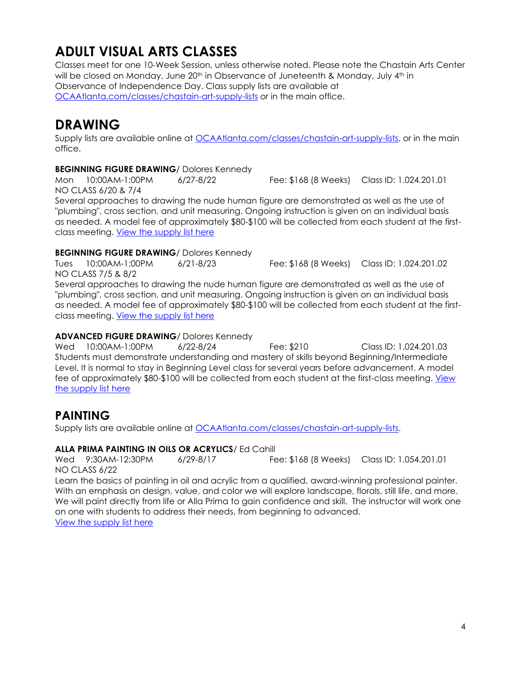# **ADULT VISUAL ARTS CLASSES**

Classes meet for one 10-Week Session, unless otherwise noted. Please note the Chastain Arts Center will be closed on Monday, June 20<sup>th</sup> in Observance of Juneteenth & Monday, July 4<sup>th</sup> in Observance of Independence Day. Class supply lists are available at [OCAAtlanta.com/classes/chastain-art-supply-lists](http://www.ocaatlanta.com/classes/chastain-art-supply-lists/) or in the main office.

# **DRAWING**

Supply lists are available online at [OCAAtlanta.com/classes/chastain-art-supply-lists,](http://www.ocaatlanta.com/classes/chastain-art-supply-lists/) or in the main office.

### **BEGINNING FIGURE DRAWING**/ Dolores Kennedy

Mon 10:00AM-1:00PM 6/27-8/22 Fee: \$168 (8 Weeks) Class ID: 1.024.201.01 NO CLASS 6/20 & 7/4

Several approaches to drawing the nude human figure are demonstrated as well as the use of "plumbing", cross section, and unit measuring. Ongoing instruction is given on an individual basis as needed. A model fee of approximately \$80-\$100 will be collected from each student at the first-class meeting. [View the supply list here](https://www.ocaatlanta.com/wp-content/uploads/2015/07/KENNEDY_Figure-Drawing.pdf)

### **BEGINNING FIGURE DRAWING**/ Dolores Kennedy

Tues 10:00AM-1:00PM 6/21-8/23 Fee: \$168 (8 Weeks) Class ID: 1.024.201.02 NO CLASS 7/5 & 8/2

Several approaches to drawing the nude human figure are demonstrated as well as the use of "plumbing", cross section, and unit measuring. Ongoing instruction is given on an individual basis as needed. A model fee of approximately \$80-\$100 will be collected from each student at the firstclass meeting. [View the supply list here](https://www.ocaatlanta.com/wp-content/uploads/2015/07/KENNEDY_Figure-Drawing.pdf)

### **ADVANCED FIGURE DRAWING**/ Dolores Kennedy

Wed 10:00AM-1:00PM 6/22-8/24 Fee: \$210 Class ID: 1.024.201.03 Students must demonstrate understanding and mastery of skills beyond Beginning/Intermediate Level. It is normal to stay in Beginning Level class for several years before advancement. A model fee of approximately \$80-\$100 will be collected from each student at the first-class meeting. View [the supply list here](https://www.ocaatlanta.com/wp-content/uploads/2015/07/KENNEDY_Figure-Drawing.pdf)

### **PAINTING**

Supply lists are available online at [OCAAtlanta.com/classes/chastain-art-supply-lists.](http://www.ocaatlanta.com/classes/chastain-art-supply-lists/)

### **ALLA PRIMA PAINTING IN OILS OR ACRYLICS**/ Ed Cahill

Wed 9:30AM-12:30PM 6/29-8/17 Fee: \$168 (8 Weeks) Class ID: 1.054.201.01 NO CLASS 6/22

Learn the basics of painting in oil and acrylic from a qualified, award-winning professional painter. With an emphasis on design, value, and color we will explore landscape, florals, still life, and more. We will paint directly from life or Alla Prima to gain confidence and skill. The instructor will work one on one with students to address their needs, from beginning to advanced. [View the supply list here](https://www.ocaatlanta.com/wp-content/uploads/2021/01/Cahill-Oil-Painting-Alla-Prima-Supplies-2021.pdf)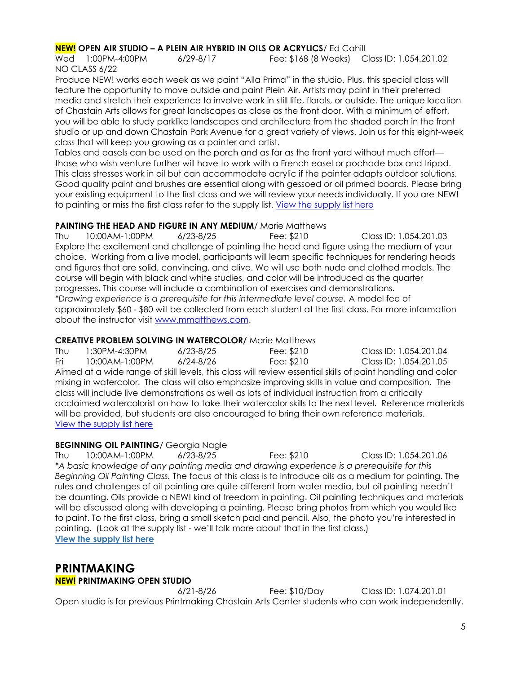### **NEW! OPEN AIR STUDIO – A PLEIN AIR HYBRID IN OILS OR ACRYLICS**/ Ed Cahill

Wed 1:00PM-4:00PM 6/29-8/17 Fee: \$168 (8 Weeks) Class ID: 1.054.201.02 NO CLASS 6/22

Produce NEW! works each week as we paint "Alla Prima" in the studio. Plus, this special class will feature the opportunity to move outside and paint Plein Air. Artists may paint in their preferred media and stretch their experience to involve work in still life, florals, or outside. The unique location of Chastain Arts allows for great landscapes as close as the front door. With a minimum of effort, you will be able to study parklike landscapes and architecture from the shaded porch in the front studio or up and down Chastain Park Avenue for a great variety of views. Join us for this eight-week class that will keep you growing as a painter and artist.

Tables and easels can be used on the porch and as far as the front yard without much effort those who wish venture further will have to work with a French easel or pochade box and tripod. This class stresses work in oil but can accommodate acrylic if the painter adapts outdoor solutions. Good quality paint and brushes are essential along with gessoed or oil primed boards. Please bring your existing equipment to the first class and we will review your needs individually. If you are NEW! to painting or miss the first class refer to the supply list. [View the supply list here](https://www.ocaatlanta.com/wp-content/uploads/2022/05/Cahill-Open-Air-Plein-Air-Hybrid-2022.pdf)

### PAINTING THE HEAD AND FIGURE IN ANY MEDIUM/ Marie Matthews

Thu 10:00AM-1:00PM 6/23-8/25 Fee: \$210 Class ID: 1.054.201.03 Explore the excitement and challenge of painting the head and figure using the medium of your choice. Working from a live model, participants will learn specific techniques for rendering heads and figures that are solid, convincing, and alive. We will use both nude and clothed models. The course will begin with black and white studies, and color will be introduced as the quarter progresses. This course will include a combination of exercises and demonstrations. *\*Drawing experience is a prerequisite for this intermediate level course.* A model fee of approximately \$60 - \$80 will be collected from each student at the first class. For more information about the instructor visit [www.mmatthews.com.](http://www.mmatthews.com/)

### **CREATIVE PROBLEM SOLVING IN WATERCOLOR/** Marie Matthews

Thu 1:30PM-4:30PM 6/23-8/25 Fee: \$210 Class ID: 1.054.201.04 Fri 10:00AM-1:00PM 6/24-8/26 Fee: \$210 Class ID: 1.054.201.05 Aimed at a wide range of skill levels, this class will review essential skills of paint handling and color mixing in watercolor. The class will also emphasize improving skills in value and composition. The class will include live demonstrations as well as lots of individual instruction from a critically acclaimed watercolorist on how to take their watercolor skills to the next level. Reference materials will be provided, but students are also encouraged to bring their own reference materials. [View the supply list here](https://www.ocaatlanta.com/wp-content/uploads/2021/11/Matthews-Watercolor-2021.pdf)

### **BEGINNING OIL PAINTING**/ Georgia Nagle

Thu 10:00AM-1:00PM 6/23-8/25 Fee: \$210 Class ID: 1.054.201.06 *\*A basic knowledge of any painting media and drawing experience is a prerequisite for this Beginning Oil Painting Class.* The focus of this class is to introduce oils as a medium for painting. The rules and challenges of oil painting are quite different from water media, but oil painting needn't be daunting. Oils provide a NEW! kind of freedom in painting. Oil painting techniques and materials will be discussed along with developing a painting. Please bring photos from which you would like to paint. To the first class, bring a small sketch pad and pencil. Also, the photo you're interested in painting. (Look at the supply list - we'll talk more about that in the first class.) **[View the supply list here](https://www.ocaatlanta.com/wp-content/uploads/2020/03/Nagle-Beg-Oil-Painting-2020.pdf)**

### **PRINTMAKING**

### **NEW! PRINTMAKING OPEN STUDIO**

6/21-8/26 Fee: \$10/Day Class ID: 1.074.201.01 Open studio is for previous Printmaking Chastain Arts Center students who can work independently.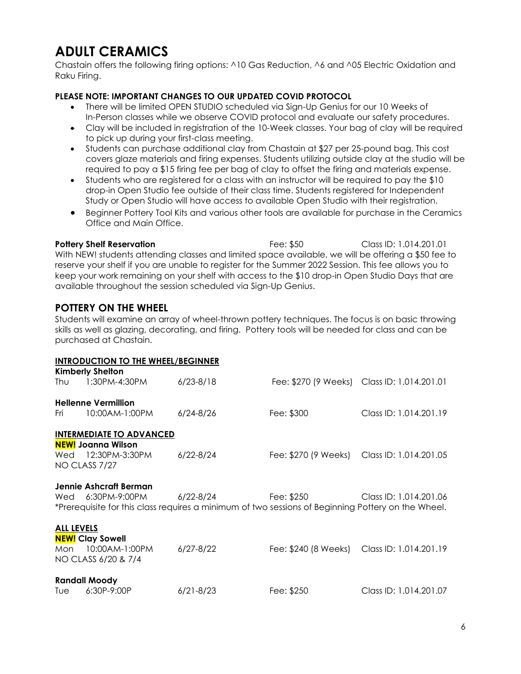# **ADULT CERAMICS**

Chastain offers the following firing options: ^10 Gas Reduction, ^6 and ^05 Electric Oxidation and Raku Firing.

### **PLEASE NOTE: IMPORTANT CHANGES TO OUR UPDATED COVID PROTOCOL**

- There will be limited OPEN STUDIO scheduled via Sign-Up Genius for our 10 Weeks of In-Person classes while we observe COVID protocol and evaluate our safety procedures.
- Clay will be included in registration of the 10-Week classes. Your bag of clay will be required to pick up during your first-class meeting.
- Students can purchase additional clay from Chastain at \$27 per 25-pound bag. This cost covers glaze materials and firing expenses. Students utilizing outside clay at the studio will be required to pay a \$15 firing fee per bag of clay to offset the firing and materials expense.
- Students who are registered for a class with an instructor will be required to pay the \$10 drop-in Open Studio fee outside of their class time. Students registered for Independent Study or Open Studio will have access to available Open Studio with their registration.
- Beginner Pottery Tool Kits and various other tools are available for purchase in the Ceramics Office and Main Office.

**Pottery Shelf Reservation** The Reservation Fee: \$50 Class ID: 1.014.201.01 With NEW! students attending classes and limited space available, we will be offering a \$50 fee to reserve your shelf if you are unable to register for the Summer 2022 Session. This fee allows you to keep your work remaining on your shelf with access to the \$10 drop-in Open Studio Days that are available throughout the session scheduled via Sign-Up Genius.

### **POTTERY ON THE WHEEL**

Students will examine an array of wheel-thrown pottery techniques. The focus is on basic throwing skills as well as glazing, decorating, and firing. Pottery tools will be needed for class and can be purchased at Chastain.

| <b>INTRODUCTION TO THE WHEEL/BEGINNER</b>                                                          |                                 |               |                      |                                             |
|----------------------------------------------------------------------------------------------------|---------------------------------|---------------|----------------------|---------------------------------------------|
| <b>Kimberly Shelton</b>                                                                            |                                 |               |                      |                                             |
| Thu                                                                                                | 1:30PM-4:30PM                   | $6/23 - 8/18$ |                      | Fee: \$270 (9 Weeks) Class ID: 1.014.201.01 |
|                                                                                                    | <b>Hellenne Vermillion</b>      |               |                      |                                             |
| Fri                                                                                                | 10:00AM-1:00PM                  | $6/24 - 8/26$ | Fee: \$300           | Class ID: 1.014.201.19                      |
|                                                                                                    | <b>INTERMEDIATE TO ADVANCED</b> |               |                      |                                             |
|                                                                                                    | <b>NEW!</b> Joanna Wilson       |               |                      |                                             |
| Wed                                                                                                | 12:30PM-3:30PM                  | 6/22-8/24     | Fee: \$270 (9 Weeks) | Class ID: 1.014.201.05                      |
|                                                                                                    | NO CLASS 7/27                   |               |                      |                                             |
|                                                                                                    | Jennie Ashcraft Berman          |               |                      |                                             |
| Wed                                                                                                | 6:30PM-9:00PM                   | 6/22-8/24     | Fee: \$250           | Class ID: 1.014.201.06                      |
| *Prerequisite for this class requires a minimum of two sessions of Beginning Pottery on the Wheel. |                                 |               |                      |                                             |
| <b>ALL LEVELS</b>                                                                                  |                                 |               |                      |                                             |
|                                                                                                    | <b>NEW!</b> Clay Sowell         |               |                      |                                             |
| Mon                                                                                                | 10:00AM-1:00PM                  | $6/27 - 8/22$ | Fee: \$240 (8 Weeks) | Class ID: 1.014.201.19                      |
|                                                                                                    | NO CLASS 6/20 & 7/4             |               |                      |                                             |
| <b>Randall Moody</b>                                                                               |                                 |               |                      |                                             |
| Tue                                                                                                | 6:30P-9:00P                     | $6/21 - 8/23$ | Fee: \$250           | Class ID: 1.014.201.07                      |
|                                                                                                    |                                 |               |                      |                                             |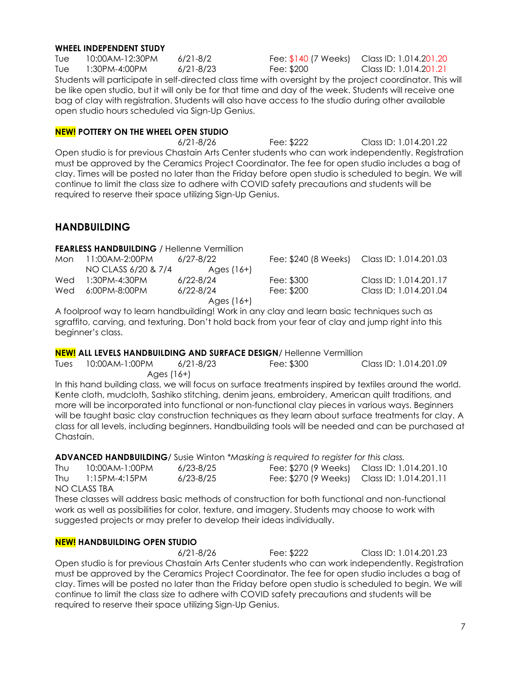### **WHEEL INDEPENDENT STUDY**

Tue 10:00AM-12:30PM 6/21-8/2 Fee: \$140 (7 Weeks) Class ID: 1.014.201.20 Tue 1:30PM-4:00PM 6/21-8/23 Fee: \$200 Class ID: 1.014.201.21 Students will participate in self-directed class time with oversight by the project coordinator. This will be like open studio, but it will only be for that time and day of the week. Students will receive one bag of clay with registration. Students will also have access to the studio during other available open studio hours scheduled via Sign-Up Genius.

### **NEW! POTTERY ON THE WHEEL OPEN STUDIO**

6/21-8/26 Fee: \$222 Class ID: 1.014.201.22 Open studio is for previous Chastain Arts Center students who can work independently. Registration must be approved by the Ceramics Project Coordinator. The fee for open studio includes a bag of clay. Times will be posted no later than the Friday before open studio is scheduled to begin. We will continue to limit the class size to adhere with COVID safety precautions and students will be required to reserve their space utilizing Sign-Up Genius.

### **HANDBUILDING**

### **FEARLESS HANDBUILDING** / Hellenne Vermillion

| Mon | 11:00AM-2:00PM      | 6/27-8/22    |            | Fee: \$240 (8 Weeks) Class ID: 1.014.201.03 |
|-----|---------------------|--------------|------------|---------------------------------------------|
|     | NO CLASS 6/20 & 7/4 | Ages (16+)   |            |                                             |
| Wed | 1:30PM-4:30PM       | 6/22-8/24    | Fee: \$300 | Class ID: 1.014.201.17                      |
|     | Wed 6:00PM-8:00PM   | 6/22-8/24    | Fee: \$200 | Class ID: 1.014.201.04                      |
|     |                     | Ages $(16+)$ |            |                                             |

A foolproof way to learn handbuilding! Work in any clay and learn basic techniques such as sgraffito, carving, and texturing. Don't hold back from your fear of clay and jump right into this beginner's class.

#### **NEW! ALL LEVELS HANDBUILDING AND SURFACE DESIGN**/ Hellenne Vermillion

| Tues       | 10:00AM-1:00PM | 6/21-8/23 | Fee: \$300 | Class ID: 1.014.201.09 |
|------------|----------------|-----------|------------|------------------------|
| Ages (16+) |                |           |            |                        |

In this hand building class, we will focus on surface treatments inspired by textiles around the world. Kente cloth, mudcloth, Sashiko stitching, denim jeans, embroidery, American quilt traditions, and more will be incorporated into functional or non-functional clay pieces in various ways. Beginners will be taught basic clay construction techniques as they learn about surface treatments for clay. A class for all levels, including beginners. Handbuilding tools will be needed and can be purchased at Chastain.

**ADVANCED HANDBUILDING**/ Susie Winton *\*Masking is required to register for this class.*

| Thu                                                                                             | 10:00AM-1:00PM | $6/23 - 8/25$ |  | Fee: \$270 (9 Weeks) Class ID: 1.014.201.10 |
|-------------------------------------------------------------------------------------------------|----------------|---------------|--|---------------------------------------------|
| Thu                                                                                             | 1:15PM-4:15PM  | 6/23-8/25     |  | Fee: \$270 (9 Weeks) Class ID: 1.014.201.11 |
|                                                                                                 | NO CLASS TBA   |               |  |                                             |
| These classes will address basic methods of construction for both functional and non-functional |                |               |  |                                             |

These classes will address basic methods of construction for both functional and non-functional work as well as possibilities for color, texture, and imagery. Students may choose to work with suggested projects or may prefer to develop their ideas individually.

### **NEW! HANDBUILDING OPEN STUDIO**

6/21-8/26 Fee: \$222 Class ID: 1.014.201.23 Open studio is for previous Chastain Arts Center students who can work independently. Registration must be approved by the Ceramics Project Coordinator. The fee for open studio includes a bag of clay. Times will be posted no later than the Friday before open studio is scheduled to begin. We will continue to limit the class size to adhere with COVID safety precautions and students will be required to reserve their space utilizing Sign-Up Genius.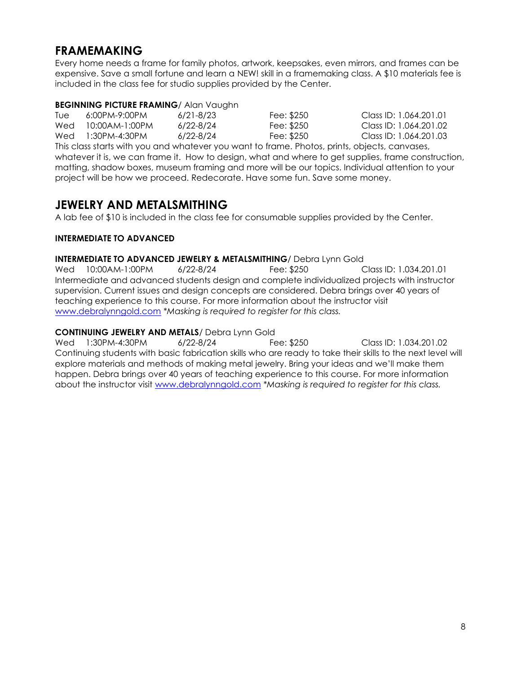### **FRAMEMAKING**

Every home needs a frame for family photos, artwork, keepsakes, even mirrors, and frames can be expensive. Save a small fortune and learn a NEW! skill in a framemaking class. A \$10 materials fee is included in the class fee for studio supplies provided by the Center.

### **BEGINNING PICTURE FRAMING**/ Alan Vaughn

| Tue | 6:00PM-9:00PM  | 6/21-8/23 | Fee: \$250 | Class ID: 1.064.201.01 |
|-----|----------------|-----------|------------|------------------------|
| Wed | 10:00AM-1:00PM | 6/22-8/24 | Fee: \$250 | Class ID: 1.064.201.02 |
| Wed | 1:30PM-4:30PM  | 6/22-8/24 | Fee: \$250 | Class ID: 1.064.201.03 |
|     |                |           |            |                        |

This class starts with you and whatever you want to frame. Photos, prints, objects, canvases, whatever it is, we can frame it. How to design, what and where to get supplies, frame construction, matting, shadow boxes, museum framing and more will be our topics. Individual attention to your project will be how we proceed. Redecorate. Have some fun. Save some money.

### **JEWELRY AND METALSMITHING**

A lab fee of \$10 is included in the class fee for consumable supplies provided by the Center.

### **INTERMEDIATE TO ADVANCED**

### **INTERMEDIATE TO ADVANCED JEWELRY & METALSMITHING**/ Debra Lynn Gold

Wed 10:00AM-1:00PM 6/22-8/24 Fee: \$250 Class ID: 1.034.201.01 Intermediate and advanced students design and complete individualized projects with instructor supervision. Current issues and design concepts are considered. Debra brings over 40 years of teaching experience to this course. For more information about the instructor visit [www.debralynngold.com](http://www.debralynngold.com/) *\*Masking is required to register for this class.*

### **CONTINUING JEWELRY AND METALS**/ Debra Lynn Gold

Wed 1:30PM-4:30PM 6/22-8/24 Fee: \$250 Class ID: 1.034.201.02 Continuing students with basic fabrication skills who are ready to take their skills to the next level will explore materials and methods of making metal jewelry. Bring your ideas and we'll make them happen. Debra brings over 40 years of teaching experience to this course. For more information about the instructor visit [www.debralynngold.com](http://www.debralynngold.com/) *\*Masking is required to register for this class.*